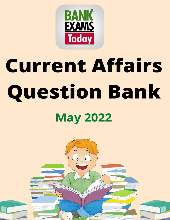

# **Current Affairs Question Bank May 2022**

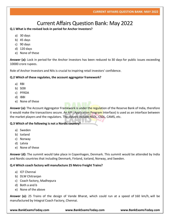# Current Affairs Question Bank: May 2022

# **Q.1 What is the revised lock-in period for Anchor Investors?**

- a) 30 days
- b) 45 days
- c) 90 days
- d) 120 days
- e) None of these

**Answer (a):** Lock in period for the Anchor Investors has been reduced to 30 days for public issues exceeding 10000 crore rupees.

Role of Anchor Investors and NIIs is crucial to inspiring retail investors' confidence.

# **Q.2 Which of these regulates, the account aggregator framework?**

- a) RBI
- b) SEBI
- c) PFRDA
- d) IBBI
- e) None of these

**Answer (a):** The Account Aggregator Framework is under the regulation of the Reserve Bank of India, therefore it would make the transactions secure. An API (Application Program Interface) is used as an interface between the market players and the regulators. The players include NSDL, CSDL, CAMS, etc.

# **Q.3 Which of the following is not a Nordic country?**

- a) Sweden
- b) Iceland
- c) Norway
- d) Latvia
- e) None of these

**Answer (d):** The summit would take place in Copenhagen, Denmark. This summit would be attended by India and Nordic countries that including Denmark, Finland, Iceland, Norway, and Sweden.

# **Q.4 Which coach factory will manufacture 25 Metro Freight Trains?**

- a) ICF Chennai
- b) DLW Chitranjan
- c) Coach factory, Madhepura
- d) Both a and b
- e) None of the above

**Answer (a):** 25 Trains of the design of Vande Bharat, which could run at a speed of 160 km/h, will be manufactured by Integral Coach Factory, Chennai.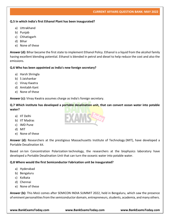# **Q.5 In which India's first Ethanol Plant has been inaugurated?**

- a) Uttrakhand
- b) Punjab
- c) Chhatisgarh
- d) Bihar
- e) None of these

**Answer (d):** Bihar became the first state to implement Ethanol Policy. Ethanol is a liquid from the alcohol family having excellent blending potential. Ethanol is blended in petrol and diesel to help reduce the cost and also the emissions.

# **Q.6 Who has been appointed as India's new foreign secretary?**

- a) Harsh Shringla
- b) S Jaishankar
- c) Vinay Kwatra
- d) Amitabh Kant
- e) None of these

**Answer (c):** Vinay Kwatra assumes charge as India's foreign secretary.

**Q.7 Which institute has developed a portable desalination unit, that can convert ocean water into potable water?**

- a) IIT Delhi
- b) IIT Madras
- c) IMD Pune
- d) MIT
- e) None of these

**Answer (d):** Researchers at the prestigious Massachusetts Institute of Technology (MIT), have developed a Portable Desalination kit.

Based on Ion Concentration Polarization technology, the researchers at the biophysics laboratory have developed a Portable Desalination Unit that can turn the oceanic water into potable water.

# **Q.8 Where would the first Semiconductor Fabrication unit be inaugurated?**

- a) Hyderabad
- b) Bengaluru
- c) Kolkata
- d) Chennai
- e) None of these

**Answer (b):** This MoU comes after SEMICON INDIA SUMMIT 2022, held in Bengaluru, which saw the presence of eminent personalities from the semiconductor domain, entrepreneurs, students, academia, and many others.

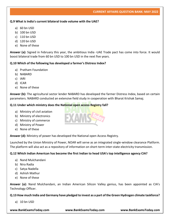#### **Q.9 What is India's current bilateral trade volume with the UAE?**

- a) 60 bn USD
- b) 100 bn USD
- c) 110 bn USD
- d) 120 bn USD
- e) None of these

**Answer (a):** Signed in February this year, the ambitious India -UAE Trade pact has come into force. It would boost bilateral trade from 60 bn USD to 100 bn USD in the next five years.

#### **Q.10 Which of the following has developed a farmer's Distress Index?**

- a) Pratham Foundation
- b) NABARD
- c) IARI
- d) ICAR
- e) None of these

**Answer (b):** The agricultural sector lender NABARD has developed the farmer Distress Index, based on certain parameters. NABARD conducted an extensive field study in cooperation with Bharat Krishak Samaj.

#### **Q.11 Under which ministry does the National open access Registry fall?**

- a) Ministry of civil aviation
- b) Ministry of electronics
- c) Ministry of commerce
- d) Ministry of Power
- e) None of these

**Answer (d):** Ministry of power has developed the National open Access Registry.

Launched by the Union Ministry of Power, NOAR will serve as an integrated single-window clearance Platform. The platform will also act as a repository of information on short-term inter-state electricity transmission.

# **Q.12 Which Indian American has become the first Indian to head USA's top intelligence agency CIA?**

- a) Nand Mulchandani
- b) Nira Radia
- c) Satya Nadella
- d) Ashish Mathur
- e) None of these

**Answer (a):** Nand Mulchandani, an Indian American Silicon Valley genius, has been appointed as CIA's Technology Officer.

#### **Q.13 How much India and Germany have pledged to invest as a part of the Green Hydrogen climate taskforce?**

a) 10 bn USD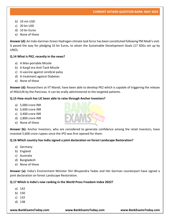- b) 10 mn USD
- c) 20 bn USD
- d) 10 bn Euros
- e) None of these

**Answer (d):** An Indo-German Green Hydrogen climate task force has been constituted following PM Modi's visit. It paved the way for pledging 10 bn Euros, to attain the Sustainable Development Goals (17 SDGs set up by UNO).

# **Q.14 What is PK2, recently in the news?**

- a) A Man-portable Missile
- b) A Kargil era Anti-Tank Missile
- c) A vaccine against cerebral palsy
- d) A treatment against Diabetes
- e) None of these

**Answer (d):** Researchers at IIT Mandi, have been able to develop PK2 which is capable of triggering the release of INSULIN by the Pancreas. It can be orally administered to the targeted patients.

#### **Q.15 How much has LIC been able to raise through Anchor Investors?**

- a) 5,000 crore INR
- b) 5,600 crore INR
- c) 3,400 crore INR
- d) 2,800 crore INR
- e) None of these

Answer (b): Anchor Investors, who are considered to generate confidence among the retail investors, have invested 5,600 crore rupees since the IPO was first opened for them.

# **Q.16 Which country has India signed a joint declaration on forest Landscape Restoration?**

- a) Germany
- b) England
- c) Australia
- d) Bangladesh
- e) None of these

**Answer (a):** India's Environment Minister Shri Bhupendra Yadav and Her German counterpart have signed a joint declaration on forest Landscape Restoration.

#### **Q.17 Which is India's new ranking in the World Press Freedom Index 2022?**

- a) 142
- b) 150
- c) 132
- d) 138

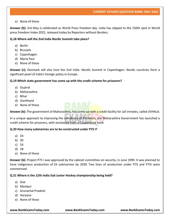e) None of these

**Answer (b):** 3rd May is celebrated as World Press freedom day. India has slipped to the 150th spot in World press freedom Index 2022, released today by Reporters without Borders.

# **Q.18 Where will the 2nd India Nordic Summit take place?**

- a) Berlin
- b) Brussels
- c) Copenhagen
- d) Maria Paul
- e) None of these

**Answer (c):** Denmark will also host the 2nd India -Nordic Summit in Copenhagen. Nordic countries form a significant pearl of India's foreign policy in Europe.

# **Q.19 Which state government has come up with the credit scheme for prisoners?**

- a) Gujarat
- b) Maharashtra
- c) Bihar
- d) Jharkhand
- e) None of these

**Answer (b):** The government of Maharashtra, has come up with a credit facility for Jail inmates, called JIVHALA.

In a unique approach to improving the conditions of Prisoners, the Maharashtra Government has launched a credit scheme for prisoners, with assistance from a Cooperative bank.

# **Q.20 How many submarines are to be constructed under P75 I?**

- a) 24
- b) 30
- c) 16
- d) 18
- e) None of these

**Answer (b):** Project P75 I was approved by the cabinet committee on security, in June 1999. It was planned to have indigenous production of 24 submarines by 2030. Two lines of production under P75 and P75I were commenced.

# **Q.21 Where is the 12th India Sub Junior Hockey championship being held?**

- a) Goa
- b) Manipur
- c) Arunachal Pradesh
- d) Haryana
- e) None of these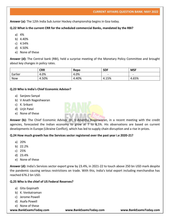**Answer (a):** The 12th India Sub Junior Hockey championship begins in Goa today.

# **Q.22 What is the current CRR for the scheduled commercial Banks, mandated by the RBI?**

- a) 4%
- b) 4.40%
- c) 4.54%
- d) 4.50%
- e) None of these

**Answer (d):** The Central bank (RBI), held a surprise meeting of the Monetary Policy Committee and brought about key changes in policy rates.

|            | <b>CRR</b> | Repo  | <b>SDF</b> | <b>MSF</b> |
|------------|------------|-------|------------|------------|
| Earlier    | 4.0%       | 4.0%  |            | -          |
| <b>Now</b> | 4.50%      | 4.40% | 4.15%      | 4.65%      |

# **Q.23 Who is India's Chief Economic Advisor?**

- a) Sanjeev Sanyal
- b) V Anath Nageshwaran
- c) K. Srikant
- d) Urjit Patel
- e) None of these



# **Q.24 How much growth has the Services sector registered over the past year i.e 2020-21?**

- a) 20%
- b) 22.2%
- c) 25%
- d) 23.4%
- e) None of these

**Answer (d):** India's Services sector export grew by 23.4%, in 2021-22 to touch above 250 bn USD mark despite the pandemic causing serious restrictions on trade. With this, India's total export including merchandise has reached 676.2 bn USD.

# **Q.25 Who is the chief of US Federal Reserves?**

- a) Gita Gopinath
- b) K. Venkatraman
- c) Jerome Powell
- d) Asafa Powell
- e) None of these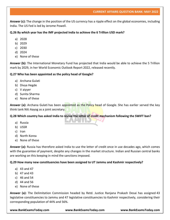**Answer (c):** The change in the position of the US currency has a ripple effect on the global economies, including India. The US Fed is led by Jerome Powell.

# **Q.26 By which year has the IMF projected India to achieve the 6 Trillion USD mark?**

- a) 2028
- b) 2029
- c) 2030
- d) 2024
- e) None of these

**Answer (b):** The International Monetary Fund has projected that India would be able to achieve the 5 Trillion mark by 2029, in her World Economic Outlook Report 2022, released recently.

# **Q.27 Who has been appointed as the policy head of Google?**

- a) Archana Gulati
- b) Divya Hegde
- c) V aiyyer
- d) Sunita Sharma
- e) None of these

**Answer (a):** Archana Gulati has been appointed as the Policy head of Google. She has earlier served the key think tank Niti Aayog as a joint secretary.

# **Q.28 Which country has asked India to revive the letter of credit mechanism following the SWIFT ban?**

- a) Russia
- b) USSR
- c) Iran
- d) North Korea
- e) None of these

**Answer (a):** Russia has therefore asked India to use the letter of credit once in use decades ago, which comes with the guarantee of payment, despite any changes in the market structure. Indian and Russian central banks are working on this keeping in mind the sanctions imposed.

# **Q.29 How many new constituencies have been assigned to UT Jammu and Kashmir respectively?**

- a) 43 and 47
- b) 47 and 43
- c) 46 and 54
- d) 44 and 56
- e) None of these

**Answer (a):** The Delimitation Commission headed by Retd. Justice Ranjana Prakash Desai has assigned 43 legislative constituencies to Jammu and 47 legislative constituencies to Kashmir respectively, considering their corresponding population of 44% and 56%.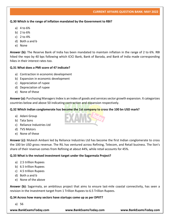# **Q.30 Which is the range of inflation mandated by the Government to RBI?**

- a) 4 to 6%
- b) 2 to 6%
- c) 2 to 4%
- d) Both a and b
- e) None

**Answer (b):** The Reserve Bank of India has been mandated to maintain inflation in the range of 2 to 6%. RBI hiked the repo by 40 bps following which ICICI Bank, Bank of Baroda, and Bank of India made corresponding hikes in their interest rates too.

# **Q.31 What does a PMI score of 47 indicate?**

- a) Contraction in economic development
- b) Expansion in economic development
- c) Appreciation of rupee
- d) Depreciation of rupee
- e) None of these

**Answer (a):** Purchasing Managers Index is an index of goods and services sector growth expansion. It categorizes countries below and above 50 indicating contraction and expansion respectively.

# **Q.32 Which Indian conglomerate has become the 1st company to cross the 100 bn USD mark?**

- a) Adani Group
- b) Tata Sons
- c) Reliance Industries Ltd
- d) TVS Motors
- e) None of these

**Answer (c):** Mukesh Ambani led by Reliance Industries Ltd has become the first Indian conglomerate to cross the 100 bn USD gross revenue. The RIL has ventured across Refining, Telecom, and Retail business. The lion's share of their revenue comes from Refining at about 44%, while retail accounts for 45%.

# **Q.33 What is the revised investment target under the Sagarmala Project?**

- a) 2.5 trillion Rupees
- b) 6.5 trillion Rupees
- c) 4.5 trillion Rupees
- d) Both a and b
- e) None of the above

**Answer (b):** Sagarmala, an ambitious project that aims to ensure last-mile coastal connectivity, has seen a revision in the Investment target from 1 Trillion Rupees to 6.5 Trillion Rupees.

#### **Q.34 Across how many sectors have startups come up as per DPIIT?**

a) 56

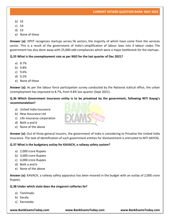- b) 55
- c) 54
- d) 53
- e) None of these

**Answer (a):** DPIIT recognizes startups across 56 sectors, the majority of which have come from the services sector. This is a result of the government of India's simplification of labour laws into 4 labour codes. The government has also done away with 25,000 odd compliances which were a major bottleneck for the startups.

# **Q.35 What is the unemployment rate as per NSO for the last quarter of Dec 2021?**

- a) 8.7%
- b) 9.8%
- c) 9.6%
- d) 9.2%
- e) None of these

**Answer (a):** As per the labour force participation survey conducted by the National statical office, the urban Unemployment has improved to 8.7%, from 9.8% last quarter (Sept 2021).

**Q.36 Which Government insurance entity is to be privatized by the government, following NITI Aayog's recommendation?**

- a) United India insurance
- b) New Assurance Ltd
- c) Life insurance corporation
- d) Both a and b
- e) None of the above

**Answer (a):** Out of three general insurers, the government of India is considering to Privatise the United India Insurance. The task of identification of such government entities for disinvestment is entrusted to NITI AAYOG.

#### **Q.37 What is the budgetary outlay for KAVACH, a railway safety system?**

- a) 2,000 crore Rupees
- b) 3,000 crore Rupees
- c) 4,000 crore Rupees
- d) Both a and b
- e) None of the above

**Answer (a):** KAVACH, a railway safety apparatus has been moored in the budget with an outlay of 2,000 crore Rupees.

**Q.38 Under which state does the singareni collieries lie?**

- a) Tamilnadu
- b) Kerala
- c) Karnataka

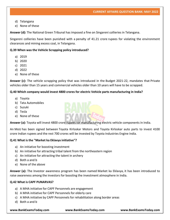- d) Telangana
- e) None of these

**Answer (d):** The National Green Tribunal has imposed a fine on Singareni collieries in Telangana.

Singareni collieries have been punished with a penalty of 41.21 crore rupees for violating the environment clearances and mining excess coal, in Telangana.

# **Q.39 When was the Vehicle Scrapping policy introduced?**

- a) 2019
- b) 2020
- c) 2021
- d) 2022
- e) None of these

**Answer (c):** The vehicle scrapping policy that was introduced in the Budget 2021-22, mandates that Private vehicles older than 15 years and commercial vehicles older than 10 years will have to be scrapped.

# **Q.40 Which company would invest 4800 crores for electric Vehicle parts manufacturing in India?**

- a) Toyota
- b) Tata Automobiles
- c) Suzuki
- d) Tesla
- e) None of these



**Answer (a):** Toyota will invest 4800 crore rupees for manufacturing electric vehicle components in India.

An MoU has been signed between Toyota Kirloskar Motors and Toyota Kirloskar auto parts to invest 4100 crore Indian rupees and the rest 700 crores will be invested by Toyota Industries Engine India.

# **Q.41 What is the "Market ka Eklavya initiative"?**

- a) An initiative for boosting investment
- b) An initiative for attracting tribal talent from the northeastern region
- c) An initiative for attracting the talent in archery
- d) Both a and b
- e) None of the above

**Answer (a):** The Investor awareness program has been named Market ka Eklavya, it has been introduced to raise awareness among the investors for boosting the investment atmosphere in India.

# **Q.42 What is CAPF PUNARVAS?**

- a) A MHA initiative for CAPF Personnels are engagement
- b) A MHA initiative for CAPF Personnels for elderly care
- c) A MHA initiative by CAPF Personnels for rehabilitation along border areas
- d) Both a and b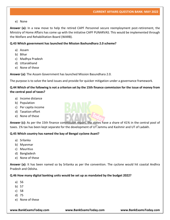#### e) None

**Answer (a):** In a new move to help the retired CAPF Personnel secure reemployment post-retirement, the Ministry of Home Affairs has come up with the initiative CAPF PUNARVAS. This would be implemented through the Welfare and Rehabilitation Board (WARB).

# **Q.43 Which government has launched the Mission Bashundhara 2.0 scheme?**

- a) Assam
- b) Bihar
- c) Madhya Pradesh
- d) Uttarakhand
- e) None of these

**Answer (a):** The Assam Government has launched Mission Basundhara 2.0.

The purpose is to solve the land issues and provide for quicker mitigation under a governance framework.

# **Q.44 Which of the following is not a criterion set by the 15th finance commission for the issue of money from the central pool of taxes?**

- a) Income distance
- b) Population
- c) Per capita income
- d) Taxation effort
- e) None of these



**Answer (c):** As per the 15th finance commission report, the states have a share of 41% in the central pool of taxes. 1% tax has been kept separate for the development of UT Jammu and Kashmir and UT of Ladakh.

#### **Q.45 Which country has named the bay of Bengal cyclone Asani?**

- a) Srilanka
- b) Myanmar
- c) Mauritius
- d) Bangladesh
- e) None of these

**Answer (a):** It has been named so by Srilanka as per the convention. The cyclone would hit coastal Andhra Pradesh and Odisha.

# **Q.46 How many digital banking units would be set up as mandated by the budget 2022?**

- a) 56
- b) 57
- c) 58
- d) 75
- e) None of these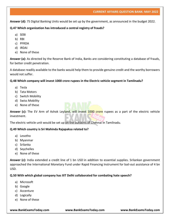**Answer (d):** 75 Digital Banking Units would be set up by the government, as announced in the budget 2022.

#### **Q.47 Which organization has introduced a central registry of frauds?**

- a) SEBI
- b) RBI
- c) PFRDA
- d) IRDAI
- e) None of these

**Answer (a):** As directed by the Reserve Bank of India, Banks are considering constituting a database of frauds, for better credit penetration.

A database readily available to the banks would help them to provide genuine credit and the worthy borrowers would not suffer.

# **Q.48 Which company will invest 1000 crore rupees in the Electric vehicle segment in Tamilnadu?**

- a) Tesla
- b) Tata Motors
- c) Switch Mobility
- d) Swiss Mobility
- e) None of these

Answer (c): The EV Arm of Ashok Leyland, will invest 1000 crore rupees as a part of the electric vehicle investment.

The electric vehicle unit would be set up on the outskirts of Chennai in Tamilnadu.

# **Q.49 Which country is Sri Mahinda Rajapaksa related to?**

- a) Lesotho
- b) Myanmar
- c) Srilanka
- d) Seychelles
- e) None of these

**Answer (c):** India extended a credit line of 1 bn USD in addition to essential supplies. Srilankan government approached the International Monetary Fund under Rapid Financing Instrument for bail-out assistance of 4 bn USD.

# **Q.50 With which global company has IIIT Delhi collaborated for combating hate speech?**

- a) Microsoft
- b) Google
- c) Accenture
- d) Logically
- e) None of these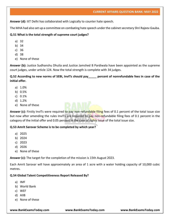**Answer (d):** IIIT Delhi has collaborated with Logically to counter hate speech.

The MHA had also set up a committee on combating hate speech under the cabinet secretary Shri Rajeev Gauba.

# **Q.51 What is the total strength of supreme court judges?**

- a) 32
- b) 34
- c) 36
- d) 38
- e) None of these

**Answer (b):** Justice Sudhanshu Dhulia and Justice Jamshed B Pardiwala have been appointed as the supreme court judges, under article 124. Now the total strength is complete with 34 judges.

**Q.52 According to new norms of SEBI, InvITs should pay\_\_\_\_\_ percent of nonrefundable fees in case of the initial offer.**

- a) 1.0%
- b) 0.5%
- c) 0.1%
- d) 1.2%
- e) None of these

Answer (c): Firstly InvITs were required to pay non-refundable filing fees of 0.1 percent of the total issue size but now after amending the rules InvITs are required to pay non-refundable filing fees of 0.1 percent in the category of the initial offer and 0.05 percent in the case of rights issue of the total issue size.

# **Q.53 Amrit Sarovar Scheme is to be completed by which year?**

- a) 2025
- b) 2024
- c) 2023
- d) 2026
- e) None of these

**Answer (c):** The target for the completion of the mission is 15th August 2023.

Each Amrit Sarovar will have approximately an area of 1 acre with a water holding capacity of 10,000 cubic metres.

# **Q.54 Global Talent Competitiveness Report Released By?**

- a) IMF
- b) World Bank
- c) WEF
- d) AIIB
- e) None of these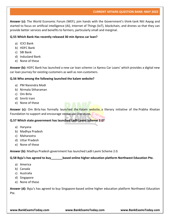**Answer (c):** The World Economic Forum (WEF), join hands with the Government's think-tank Niti Aayog and started to focus on artificial intelligence (AI), Internet of Things (IoT), blockchain, and drones so that they can provide better services and benefits to farmers, particularly small and marginal.

# **Q.55 Which Bank Has recently released 30 min Xpress car loan?**

- a) ICICI Bank
- b) HDFC Bank
- c) SBI Bank
- d) Indusland Bank
- e) None of these

**Answer (b):** HDFC Bank has launched a new car loan scheme i.e Xpress Car Loans' which provides a digital new car loan journey for existing customers as well as non-customers.

#### **Q.56 Who among the following launched the kalam website?**

- a) PM Narendra Modi
- b) Nirmala Sitharaman
- c) Om Birla
- d) Smriti Irani
- e) None of these

Answer (c): Om Birla has formally launched the Kalam website, a literary initiative of the Prabha Khaitan Foundation to support and encourage vernacular literature.

# **Q.57 Which state government has launched Ladli Laxmi Scheme 2.0?**

- a) Haryana
- b) Madhya Pradesh
- c) Maharastra
- d) Uttar Pradesh
- e) None of these

**Answer (b):** Madhya Pradesh government has launched Ladli Laxmi Scheme 2.0.

# **Q.58 Byju's has agreed to buy\_\_\_\_\_\_\_based online higher education platform Northwest Education Pte.**

- a) America
- b) Canada
- c) Australia
- d) Singapore
- e) None of these

**Answer (d):** Byju's has agreed to buy Singapore-based online higher education platform Northwest Education Pte.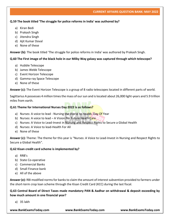# **Q.59 The book titled 'The struggle for police reforms in India' was authored by?**

- a) Kiran Bedi
- b) Prakash Singh
- c) Jitendra Singh
- d) Ajit Kumar Doval
- e) None of these

**Answer (b):** The book titled 'The struggle for police reforms in India' was authored by Prakash Singh.

#### **Q.60 The First image of the black hole in our Milky Way galaxy was captured through which telescope?**

- a) Hubble Telescope
- b) James Webb Telescope
- c) Event Horizon Telescope
- d) Gamma-ray Space Telescope
- e) None of these

**Answer (c):** The Event Horizon Telescope is a group of 8 radio telescopes located in different parts of world.

Sagittarius A possesses 4 million times the mass of our sun and is located about 26,000 light-years and 5.9 trillion miles from earth.

#### **Q.61 Theme for International Nurses Day 2022 is as follows?**

- a) Nurses: A voice to lead Nursing the World to Health. Day Of Year
- b) Nurses: A voice to lead A Vision For Future Heath Care
- c) Nurses: A Voice to Lead-Invest in Nursing and Respect Rights to Secure a Global Health
- d) Nurses: A Voice to lead-Health For All
- e) None of these

**Answer (c):** Theme: The theme for this year is "Nurses: A Voice to Lead-Invest in Nursing and Respect Rights to Secure a Global Health".

#### **Q.62 Kisan credit card scheme is implemented by?**

- a) RRB's
- b) State Co-operative
- c) Commercial Banks
- d) Small Finance bank
- e) All of the above

**Answer (e):** RBI modified norms for banks to claim the amount of interest subvention provided to farmers under the short-term crop loan scheme through the Kisan Credit Card (KCC) during the last fiscal.

**Q.63 Central Board of Direct Taxes made mandatory PAN & Aadhar on withdrawal & deposit exceeding by how much amount in one financial year?**

a) 35 lakh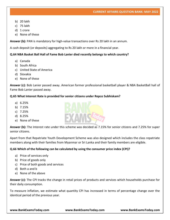- b) 20 lakh
- c) 75 lakh
- d) 1 crore
- e) None of these

**Answer (b):** PAN is mandatory for high-value transactions over Rs 20 lakh in an annum.

A cash deposit (or deposits) aggregating to Rs 20 lakh or more in a financial year.

# **Q.64 NBA Basket Ball Hall of Fame Bob Lanier died recently belongs to which country?**

- a) Canada
- b) South Africa
- c) United State of America
- d) Slovakia
- e) None of these

**Answer (c):** Bob Lanier passed away. American former professional basketball player & NBA BasketBall hall of Fame Bob Lanier passed away.

#### **Q.65 What Interest Rate is provided for senior citizens under Repco Subhiskam?**

- a) 6.25%
- b) 7.15%
- c) 7.25%
- d) 8.25%
- e) None of these

**Answer (b):** The Interest rate under this scheme was decided as 7.15% for senior citizens and 7.25% for super senior citizens.

Apart from that Repatriate Youth Development Scheme was also designed which includes the class repatriate members along with their families from Myanmar or Sri Lanka and their family members are eligible.

# **Q.66 Which of the following can be calculated by using the consumer price index (CPI)?**

- a) Price of services only
- b) Price of goods only
- c) Price of both goods and services
- d) Both a and b
- e) None of the above

**Answer (c):** The CPI tracks the change in retail prices of products and services which households purchase for their daily consumption.

To measure inflation, we estimate what quantity CPI has increased in terms of percentage change over the identical period of the previous year.

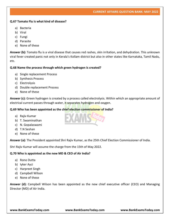#### **Q.67 Tomato Flu is what kind of disease?**

- a) Bacteria
- b) Viral
- c) Fungi
- d) Parasite
- e) None of these

**Answer (b):** Tomato flu is a viral disease that causes red rashes, skin irritation, and dehydration. This unknown viral fever created panic not only in Kerala's Kollam district but also in other states like Karnataka, Tamil Nadu, etc.

#### **Q.68 Name the process through which green hydrogen is created?**

- a) Single replacement Process
- b) Synthesis Process
- c) Electrolysis
- d) Double replacement Process
- e) None of these

**Answer (c):** Green hydrogen is created by a process called electrolysis. Within which an appropriate amount of electrical current passes through water, it separates hydrogen and oxygen.

# **Q.69 Who has been appointed as the chief election commissioner of India?**

- a) Rajiv Kumar
- b) T. Swaminathan
- c) N. Gopalaswami
- d) T.N Seshan
- e) None of these

**Answer (a):** The President appointed Shri Rajiv Kumar, as the 25th Chief Election Commissioner of India.

Shri Rajiv Kumar will assume the charge from the 15th of May 2022.

# **Q.70 Who is appointed as the new MD & CEO of Air India?**

- a) Rono Dutta
- b) Iyker Ayci
- c) Harpreet Singh
- d) Campbell Wilson
- e) None of these

**Answer (d):** Campbell Wilson has been appointed as the new chief executive officer (CEO) and Managing Director (MD) of Air India.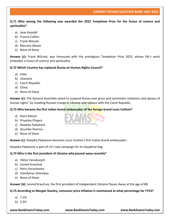**Q.71 Who among the following was awarded the 2022 Templeton Prize for the fusion of science and spirituality?**

- a) Jane Goodall
- b) Francis Collins
- c) Frank Wilczek
- d) Marcelo Gleiser
- e) None of these

**Answer (c):** Frank Wilczek, was honoured with the prestigious Templeton Prize 2022, whose life's work embodies a fusion of science and spirituality.

#### **Q.72 Which Country has replaced Russia on Human Rights Council?**

- a) India
- b) Ukaraine
- c) Czech Republic
- d) China
- e) None of these

**Answer (c):** The General Assembly voted to suspend Russia over gross and systematic violations and abuses of human rights" by invading Russian troops in Ukraine and replace with the Czech Republic.

# **Q.73 Who became the first Indian brand ambassador of the foreign brand Louis Vuitton?**

- a) Kiara Advani
- b) Priyanka Chopra
- c) Deepika Padukone
- d) Anushka Sharma
- e) None of these

**Answer (c):** Deepika Padukone becomes Louis Vuitton's first Indian brand ambassador.

Deepika Padukone is part of LV's new campaign for its Dauphine bag.

#### **Q.74 Who is the first president of Ukraine who passed away recently?**

- a) Viktor Yanukovych
- b) Leonid Kravchuk
- c) Petro Poroshenko
- d) Volodymyr Zelenskyy
- e) None of these

**Answer (b):** Leonid Kravchuk, the first president of Independent Ukraine Passes Away at the age of 88.

# **Q.75 According to Morgan Stanley, consumer price inflation is maintained at what percentage for FY23?**

- a) 7.2%
- b) 3.3%

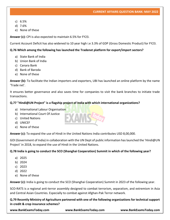- c) 6.5%
- d) 7.6%
- e) None of these

**Answer (c):** CPI is also expected to maintain 6.5% for FY23.

Current Account Deficit has also widened to 10 year high i.e 3.3% of GDP (Gross Domestic Product) for FY23.

# **Q.76 Which among the following has launched the Tradenxt platform for export/import sectors?**

- a) State Bank of India
- b) Union Bank of India
- c) Canara Bank
- d) Bank of Baroda
- e) None of these

**Answer (b):** To facilitate the Indian importers and exporters, UBI has launched an online platform by the name 'Trade nxt'.

It ensures better governance and also saves time for companies to visit the bank branches to initiate trade transactions.

# **Q.77 "Hindi@UN Project" is a flagship project of India with which international organizations?**

- a) International Labour Organisation
- b) International Court Of Justice
- c) United Nations
- d) UNICEF
- e) None of these

**Answer (c):** To expand the use of Hindi in the United Nations India contributes USD 8,00,000.

GOI (Government of India) in collaboration with the UN Dept of public information has launched the 'Hindi@UN Project' in 2018, to expand the use of Hindi in the United Nations.

# **Q.78 India is going to conduct the SCO (Shanghai Cooperation) Summit in which of the following year?**

- a) 2025
- b) 2024
- c) 2023
- d) 2022
- e) None of these

**Answer (c):** India is going to conduct the SCO (Shanghai Cooperation) Summit in 2023 of the following year.

SCO-RATS is a regional anti-terror assembly designed to combat terrorism, separatism, and extremism in Asia and Central Asian Countries. Especially to combat against Afghan-Pak Terror network.

**Q.79 Recently Ministry of Agriculture partnered with one of the following organizations for technical support in credit & crop insurance schemes?**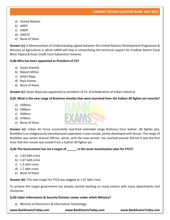- a) United Nations
- b) UNEP
- c) UNDP
- d) UNICEF
- e) None of these

**Answer (c):** A Memorandum of Understanding signed between the United Nations Development Programme & Ministry of Agriculture in which UNDP will help in streamlining the technical support for Pradhan Mantri Fasal Bima Yojana & Kisan Credit Card Subvention Scheme.

# **Q.80 Who has been appointed as President of CII?**

- a) Sanjiv Goenka
- b) Rakesh Mittal
- c) Sanjiv Bajaj
- d) Rajiv Kumar
- e) None of these

**Answer (c):** Sanjiv Bajaj was appointed as president of CII. (Confederation of Indian Industry)

# **Q.81 What is the new range of Brahmos missiles that were launched from the Sukhoi-30 fighter jet recently?**

- a) 250Kms
- b) 290kms
- c) 350kms
- d) 270kms
- e) None of these

**Answer (c):** Indian Air Force successfully test-fired extended range Brahmos from Sukhoi -30 fighter jets, BrahMos is an indigenously manufactured supersonic cruise missile, jointly developed with Russia. The range of BrahMos was earlier around 290 km, which, with the new version, has reached around 350 km.it was the first time that this missile was tested from a Sukhoi-30 fighter jet.

# **Q.82 The Government has set a target of \_\_\_\_\_\_ in the asset monetization plan for FY23?**

- a) 1.63 lakh crore
- b) 1.67 lakh crore
- c) 1.3 lakh crore
- d) 1.7 lakh crore
- e) None of these

**Answer (b):** The next target for FY23 was pegged at 1.67 lakh crore.

To achieve this target government has already started working on many sectors with many departments and ministries.

# **Q.83 Cyber Information & Security Division comes under which Ministry?**

a) Ministry of Electronics & Information Technology

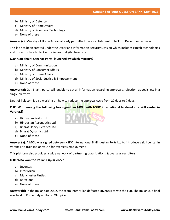- b) Ministry of Defence
- c) Ministry of Home Affairs
- d) Ministry of Science & Technology
- e) None of these

**Answer (c):** Ministry of Home Affairs already permitted the establishment of NCFL in December last year.

This lab has been created under the Cyber and Information Security Division which includes Hitech technologies and infrastructure to tackle the issues in digital forensics.

#### **Q.84 Gati Shakti Sanchar Portal launched by which ministry?**

- a) Ministry of Communication
- b) Ministry of Consumer Affairs
- c) Ministry of Home Affairs
- d) Ministry of Social Justice & Empowerment
- e) None of these

**Answer (a):** Gati Shakti portal will enable to get all information regarding approvals, rejection, appeals, etc in a single platform.

Dept of Telecom is also working on how to reduce the approval cycle from 22 days to 7 days.

#### **Q.85 Who among the following has signed an MOU with NSDC international to develop a skill center in Varanasi?**

- a) Hindustan Ports Ltd
- b) Hindustan Aeronautics Ltd
- c) Bharat Heavy Electrical Ltd
- d) Bharat Dynamics Ltd
- e) None of these

**Answer (a):** A MOU was signed between NSDC international & Hindustan Ports Ltd to introduce a skill center in Varanasi to train Indian youth for overseas employment.

This platform also provides a wide network of partnering organizations & overseas recruiters.

#### **Q.86 Who won the Italian Cup in 2022?**

- a) Juventas
- b) Inter Milan
- c) Manchester Untied
- d) Barcelona
- e) None of these

**Answer (b):** In the Italian Cup 2022, the team Inter Milan defeated Juventus to win the cup. The Italian cup final was held in Rome Italy at Stadio Olimpico.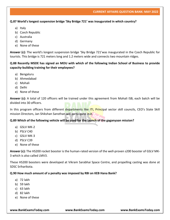#### **Q.87 World's longest suspension bridge 'Sky Bridge 721' was inaugurated in which country?**

- a) Italy
- b) Czech Republic
- c) Australia
- d) Germany
- e) None of these

**Answer (c):** The world's longest suspension bridge 'Sky Bridge 721'was inaugurated in the Czech Republic for tourists. This bridge is 721 meters long and 1.2 meters wide and connects two mountain ridges.

**Q.88 Recently MSDE has signed an MOU with which of the following Indian School of Business to provide capacity-building training for their employees?**

- a) Bengaluru
- b) Ahmedabad
- c) Mohali
- d) Delhi
- e) None of these

**Answer (c):** A total of 120 officers will be trained under this agreement from Mohali ISB, each batch will be divided into 30 officers.

In this program officers from different departments like ITI, Principal sector skill councils, CEO's State Skill mission Directors, Jan Shikshan Sansthan will participate in it.

# **Q.89 Which of the following vehicle will be used for the launch of the gaganyaan mission?**

- a) GSLV MK-2
- b) PSLV C40
- c) GSLV MK-3
- d) PSLV C39
- e) None of these

**Answer (c):** The HS200 rocket booster is the human-rated version of the well-proven s200 booster of GSLV MK-3 which is also called LMV3.

These HS200 boosters were developed at Vikram Sarabhai Space Centre, and propelling casting was done at SDSC Sriharikota.

# **Q.90 How much amount of a penalty was imposed by RBI on KEB Hana Bank?**

- a) 72 lakh
- b) 59 lakh
- c) 63 lakh
- d) 82 lakh
- e) None of these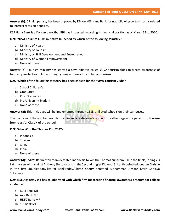**Answer (b):** 59 lakh penalty has been imposed by RBI on KEB Hana Bank for not following certain norms related to interest rates on deposits.

KEB Hana Bank is a Korean bank that RBI has inspected regarding its financial position as of March 31st, 2020.

# **Q.91 YUVA Tourism Clubs initiative launched by which of the following Ministry?**

- a) Ministry of Health
- b) Ministry of Tourism
- c) Ministry of Skill Development and Entrepreneur
- d) Ministry of Women Empowerment
- e) None of these

**Answer (b):** Tourism Ministry has started a new initiative called YUVA tourism clubs to create awareness of tourism possibilities in India through young ambassadors of Indian tourism.

# **Q.92 Which of the following category has been chosen for the YUVA Tourism Clubs?**

- a) School Children's
- b) Graduates
- c) Post Graduates
- d) Pre University Student
- e) None of these

Answer (a): This Initiatives will be implemented through CBSE-affiliated schools on their campuses.

The main aim of these initiatives is to nurture and create an interest in cultural heritage and a passion for tourism from class VI-Class X of the school.

# **Q.93 Who Won the Thomes Cup 2022?**

- a) Indonesia
- b) Thailand
- c) China
- d) India
- e) None of these

**Answer (d):** India's Badminton team defeated Indonesia to win the Thomas cup from 3-0 in the finals, In single's Lakshay sen wins against Anthony Sinisuka, and In the Second singles Kidambi Srikanth defeated Jonatan Christie in the first doubles Satwiksairaj Rankireddy/Chirag Shetty defeated Mohammad Ahsan/ Kevin Sanjaya Sukamuljo.

# **Q.94 NSE Academy Ltd has collaborated with which firm for creating financial awareness program for college students?**

- a) ICICI Bank MF
- b) Axis Bank MF
- c) HDFC Bank MF
- d) SBI Bank MF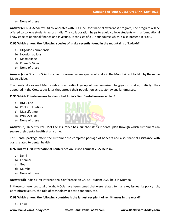# e) None of these

**Answer (c):** NSE Academy Ltd collaborates with HDFC MF for financial awareness program, The program will be offered to college students across India. This collaboration helps to equip college students with a foundational knowledge of personal finance and investing. It consists of a 9-hour course which is also present in HDFC.

# **Q.95 Which among the following species of snake recently found in the mountains of Ladakh?**

- a) Oligodon churahensis
- b) Lycodon aulicus
- c) Madtsoiidae
- d) Russell's Viper
- e) None of these

**Answer (c):** A Group of Scientists has discovered a rare species of snake in the Mountains of Ladakh by the name Madtsoiidae.

The newly discovered Madtsoiidae is an extinct group of medium-sized to gigantic snakes, initially, they appeared in the Cretaceous later they spread their population across Gondwana landmasses.

# **Q.96 Which Private insurer has launched India's First Dental insurance plan?**

- a) HDFC Life
- b) ICICI Pru Lifetime
- c) Max Lifetime
- d) PNB Met Life
- e) None of these

**Answer (d):** Recently PNB Met Life Insurance has launched its first dental plan through which customers can secure their dental health at any time.

This Dental package offers the customer the complete package of benefits and also financial assistance with costs related to dental health.

# **Q.97 India's First International Conference on Cruise Tourism 2022 held in?**

- a) Delhi
- b) Chennai
- c) Goa
- d) Mumbai
- e) None of these

**Answer (d):** India's First International Conference on Cruise Tourism 2022 held in Mumbai.

In these conferences total of eight MOUs have been signed that were related to many key issues like policy hub, port infrastructure, the role of technology in post-pandemic, etc.

# **Q.98 Which among the following countries is the largest recipient of remittances in the world?**

a) China

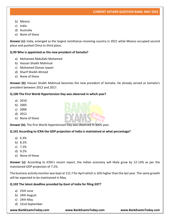- b) Mexico
- c) India
- d) Australia
- e) None of these

**Answer (c):** India, emerged as the largest remittance-receiving country in 2021 while Mexico occupied second place and pushed China to third place.

#### **Q.99 Who is appointed as the new president of Somalia?**

- a) Mohamed Abdullahi Mohamed
- b) Hassan Shaikh Mahmud
- c) Mohamed Osman Jawari
- d) Sharif Sheikh Ahmed
- e) None of these

**Answer (b):** Hassan Shaikh Mahmud becomes the new president of Somalia. He already served as Somalia's president between 2012 and 2017.

#### **Q.100 The First World Hypertension Day was observed in which year?**

- a) 2010
- b) 2005
- c) 2006
- d) 2012
- e) None of these

**Answer (b):** The first World Hypertension Day was observed in 2005 year.

#### **Q.101 According to ICRA the GDP projection of India is maintained at what percentage?**

- a) 6.3%
- b) 8.2%
- c) 7.2%
- d) 9.2%
- e) None of these

**Answer (c):** According to ICRA's recent report, the Indian economy will likely grow by 12-13% as per the maintained GDP projection of 7.2%.

The business activity monitor was kept at 115.7 for April which is 16% higher than the last year. The same growth will be expected to be maintained in May.

#### **Q.102 The latest deadline provided by Govt of India for filing GST?**

- a) 25th June
- b) 24th August
- c) 24th May
- d) 22nd September

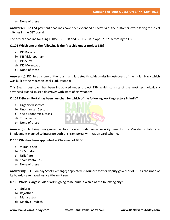e) None of these

**Answer (c):** The GST payment deadlines have been extended till May 24 as the customers were facing technical glitches in the GST portal.

The actual deadline for filing FORM GSTR-3B and GSTR-2B is in April 2022, according to CBIC.

# **Q.103 Which one of the following is the first ship under project 15B?**

- a) INS Kolkata
- b) INS Viskhapatnam
- c) INS Surat
- d) INS Mormugao
- e) None of these

**Answer (b):** INS Surat is one of the fourth and last stealth guided-missile destroyers of the Indian Navy which was built at the Mazgaon Docks Ltd, Mumbai.

This Stealth destroyer has been introduced under project 15B, which consists of the most technologically advanced guided-missile destroyer with state of art weapons.

#### **Q.104 E-Shram Portal has been launched for which of the following working sectors in India?**

- a) Organised sectors
- b) Unorganized Sectors
- c) Socio-Economic Classes
- d) Tribal sector
- e) None of these

**Answer (b):** To bring unorganized sectors covered under social security benefits, the Ministry of Labour & Employment planned to integrate both e- shram portal with ration card scheme.

# **Q.105 Who has been appointed as Chairman of BSE?**

- a) Vikranjit Sen
- b) SS Mundra
- c) Urjit Patel
- d) Shaktikanta Das
- e) None of these

**Answer (b):** BSE (Bombay Stock Exchange) appointed SS Mundra former deputy governor of RBI as chairman of its board, He replaced justice Vikramjit sen.

# **Q.106 World's largest Solar Park is going to be built in which of the following city?**

- a) Gujarat
- b) Rajasthan
- c) Maharastra
- d) Madhya Pradesh

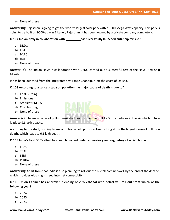e) None of these

**Answer (b):** Rajasthan is going to get the world's largest solar park with a 3000 Mega Watt capacity. This park is going to be built on 9000-acre in Bikaner, Rajasthan. It has been owned by a private company completely.

**Q.107 Indian Navy in collaboration with \_\_\_\_\_\_\_\_\_has successfully launched anti-ship missile?**

- a) DRDO
- b) ISRO
- c) BARC
- d) HAL
- e) None of these

**Answer (a):** The Indian Navy in collaboration with DRDO carried out a successful test of the Naval Anti-Ship Missile.

It has been launched from the integrated test range Chandipur, off the coast of Odisha.

# **Q.108 According to a Lancet study on pollution the major cause of death is due to?**

- a) Coal-burning
- b) Emissions
- c) Ambient PM 2.5
- d) Crop burning
- e) None of these



**Answer (c):** The main cause of pollution-related deaths is ambient PM 2.5 tiny particles in the air which in turn leads to 9.8 lakh deaths.

According to the study burning biomass for household purposes like cooking etc, is the largest cause of pollution deaths which leads to 6.1 lakh death.

# **Q.109 India's First 5G Testbed has been launched under supervisory and regulatory of which body?**

- a) IRDAI
- b) TRAI
- c) SEBI
- d) PFRDA
- e) None of these

**Answer (b):** Apart from that India is also planning to roll out the 6G telecom network by the end of the decade, which provides ultra-high-speed internet connectivity.

**Q.110 Union Cabinet has approved blending of 20% ethanol with petrol will roll out from which of the following year?**

- a) 2024
- b) 2025
- c) 2023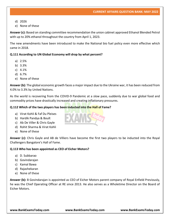- d) 2026
- e) None of these

**Answer (c):** Based on standing committee recommendation the union cabinet approved Ethanol Blended Petrol with up to 20% ethanol throughout the country from April 1, 2023.

The new amendments have been introduced to make the National bio fuel policy even more effective which came in 2018.

# **Q.111 According to UN Global Economy will drop by what percent?**

- a) 2.5%
- b) 3.3%
- c) 4.1%
- d) 6.7%
- e) None of these

**Answer (b):** The global economic growth faces a major impact due to the Ukraine war, it has been reduced from 4.0% to 3.3% by United Nations.

As the world is recovering from the COVID-9 Pandemic at a slow pace, suddenly due to war global food and commodity prices have drastically increased and creating inflationary pressures.

#### **Q.112 Which of the two players has been inducted into the Hall of Fame?**

- a) Virat Kohli & Faf Du Pleises
- b) Hardik Pandya & Boult
- c) Ab De Viller & Chris Gayle
- d) Rohit Sharma & Virat Kohli
- e) None of these

**Answer (c):** Chris Gayle and AB de Villiers have become the first two players to be inducted into the Royal Challengers Bangalore's Hall of Fame.

#### **Q.113 Who has been appointed as CEO of Eicher Motors?**

- a) D. Subbarao
- b) Govindarajan
- c) Kamal Bawa
- d) Rajashekaran
- e) None of these

**Answer (b):** B Govindarajan is appointed as CEO of Eicher Motors parent company of Royal Enfield Previously, he was the Chief Operating Officer at RE since 2013. He also serves as a Wholetime Director on the Board of Eicher Motors.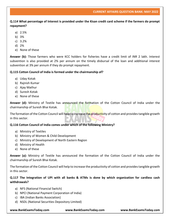**Q.114 What percentage of Interest is provided under the Kisan credit card scheme if the farmers do prompt repayment?**

- a) 2.5%
- b) 3%
- c) 3.2%
- d) 2%
- e) None of these

**Answer (b):** Those farmers who were KCC holders for fisheries have a credit limit of INR 2 lakh. Interest subvention is also provided at 2% per annum on the timely disbursal of the loan and additional interest subvention at 3% per annum if they do prompt repayment.

# **Q.115 Cotton Council of India is formed under the chairmanship of?**

- a) Uday Kotak
- b) Rajnish Kumar
- c) Ajay Mathur
- d) Suresh Kotak
- e) None of these

**Answer (d):** Ministry of Textile has announced the formation of the Cotton Council of India under the chairmanship of Suresh Bhai Kotak.

The formation of the Cotton Council will help to increase the productivity of cotton and provides tangible growth in this sector.

# **Q.116 Cotton Council of India comes under which of the following Ministry?**

- a) Ministry of Textiles
- b) Ministry of Women & Child Development
- c) Ministry of Development of North Eastern Region
- d) Ministry of Health
- e) None of these

**Answer (a):** Ministry of Textile has announced the formation of the Cotton Council of India under the chairmanship of Suresh Bhai Kotak.

The formation of the Cotton Council will help to increase the productivity of cotton and provides tangible growth in this sector.

# **Q.117 The Integration of UPI with all banks & ATMs is done by which organization for cardless cash withdrawals?**

- a) NFS (National Financial Switch)
- b) NPCI (National Payment Corporation of India)
- c) IBA (Indian Banks Association)
- d) NSDL (National Securities Depository Limited)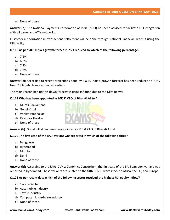# e) None of these

**Answer (b):** The National Payments Corporation of India (NPCI) has been advised to facilitate UPI integration with all banks and ATM networks.

Customer authorization in transactions settlement will be done through National Financial Switch if using the UPI facility.

# **Q.118 As per S&P India's growth forecast FY23 reduced to which of the following percentage?**

- a) 7.2%
- b) 6.3%
- c) 7.3%
- d) 7.8%
- e) None of these

**Answer (c):** According to recent projections done by S & P, India's growth forecast has been reduced to 7.3% from 7.8% (which was estimated earlier).

The main reason behind this down forecast is rising inflation due to the Ukraine war.

# **Q.119 Who has been appointed as MD & CEO of Bharati Airtel?**

- a) Murali Ramkrishna
- b) Gopal Vittal
- c) Venkat Prabhakar
- d) Ravindra Thakkar
- e) None of these

**Answer (b):** Gopal Vittal has been re-appointed as MD & CEO of Bharati Airtel.

# **Q.120 The first case of the BA.4 variant was reported in which of the following cities?**

- a) Bengaluru
- b) Hyderabad
- c) Mumbai
- d) Delhi
- e) None of these

**Answer (b):** According to the SARS-CoV-2 Genomics Consortium, the first case of the BA.4 Omicron variant was reported in Hyderabad. These variants are related to the fifth COVID wave in South Africa, the US, and Europe.

# **Q.121 As per recent data which of the following sector received the highest FDI equity inflow?**

- a) Service Sector
- b) Automobile Industry
- c) Textile Industry
- d) Computer & Hardware industry
- e) None of these

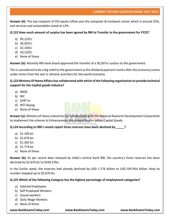**Answer (d):** The top recipient of FDI equity inflow was the computer & hardware sector which is around 25%, and services and automobiles stood at 12%.

# **Q.122 How much amount of surplus has been agreed by RBI to Transfer to the government for FY22?**

- a) 99,122Cr
- b) 30,307Cr
- c) 22,143Cr
- d) 10,125Cr
- e) None of these

**Answer (b):** Recently RBI bank board approved the transfer of a 30,307cr surplus to the government.

This is considered to be a big relief to the government as the dividend payment comes after the economy comes under stress from the war in Ukraine and fears for the world economy.

# **Q.123 Ministry Of Home Affairs has collaborated with which of the following organization to provide technical support for the Capital goods Industry?**

- a) NRDC
- b) NIC
- c) CERT-In
- d) NITI Aayog
- e) None of these



**Answer (a):** Ministry of Heavy Industries has collaborated with the National Research Development Corporation to implement the scheme to Enhancement the competition in Indian Capital Goods.

**Q.124 According to RBI's recent report forex reserves have been declined by \_\_\_\_\_?**

- a) \$1.169 bn
- b) \$2.676 bn
- c) \$1.302 bn
- d) \$1.774 bn
- e) None of these

**Answer (b):** As per recent data released by India's central bank RBI, the country's forex reserves has been declined by \$2.676 bn to \$593.27bn.

In the Earlier week, the reserves had already declined by USD 1.774 billion to USD 595.954 billion. Now its number stepped up to \$2.676 bn.

# **Q.125 Which of the following Category has the highest percentage of employment categories?**

- a) Salaried Employees
- b) Self Employed Workers
- c) Casual workers
- d) Daily Wage Workers
- e) None of these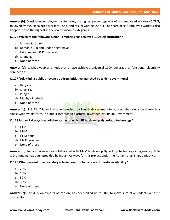**Answer (b):** Considering employment categories, the highest percentage was of self-employed workers 45.78%, followed by regular salaried workers 33.5% and casual workers 20.71). The share of self-employed workers also happens to be the highest in the lowest income categories.

# **Q.126 Which of the following Union Territories has achieved 100% electrification?**

- a) Jammu & Ladakh
- b) Daman & Diu and Dadar Nagar haveli
- c) Lakshwadeep & Puducherry
- d) Chandigarh
- e) None of these

**Answer (c):** Lakshadweep and Puducherry have achieved universal 100% coverage of functional electricity connections.

# **Q.127 'Lok Mini' a public grievance address initiative launched by which government?**

- a) Haryana
- b) Chattisgarh
- c) Punjab
- d) Madhya Pradesh
- e) None of these

**Answer (c):** 'Lok Mini' is an initiative launched by Punjab Government to address the grievances through a single-window platform. It is public interaction platform developed by Punjab Government.

# **Q.128 Indian Railways has collaborated with which IIT to develop Hyperloop technology?**

- a) IIT-B
- b) IIT-M
- c) IIT-Kanpur
- d) IIT- Kharagpur
- e) None of these

**Answer (b):** Indian Railways has collaborated with IIT-M to develop Hyperloop technology indigenously. 8.34 Crore funding has been provided by Indian Railways for this project under the Atmanirbhar Bharat initiative.

# **Q.129 What percent of export duty is levied on iron to increase domestic availability?**

- a) 20%
- b) 15%
- c) 50%
- d) 30%
- e) None of these

**Answer (c):** The duty on exports of iron ore has been hiked up to 50%, to make sure of abundant domestic availability.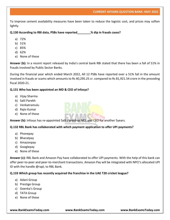To improve cement availability measures have been taken to reduce the logistic cost, and prices may soften lightly.

**Q.130 According to RBI data, PSBs have reported\_\_\_\_\_\_\_\_% dip in frauds cases?**

- a) 72%
- b) 51%
- c) 85%
- d) 62%
- e) None of these

**Answer (b):** In a recent report released by India's central bank RBI stated that there has been a fall of 51% in frauds involved by Public Sector Banks.

During the financial year which ended March 2022, All 12 PSBs have reported over a 51% fall in the amount involved in frauds or scams which amounts to Rs 40,295.25 cr. compared to Rs 81,921.54 crore in the preceding fiscal 2020-21.

# **Q.131 Who has been appointed an MD & CEO of Infosys?**

- a) Vijay Sharma
- b) Salil Parekh
- c) Venkatramulu
- d) Rajiv Kumar
- e) None of these

**Answer (b):** Infosys has re-appointed Salil Parekh as MD, and CEO for another 5years.

# **Q.132 RBL Bank has collaborated with which payment application to offer UPI payments?**

- a) Phonepay
- b) Bharatpay
- c) Amazonpay
- d) Googlepay
- e) None of these

**Answer (c):** RBL Bank and Amazon Pay have collaborated to offer UPI payments. With the help of this bank can offer peer-to-peer and peer-to-merchant transactions. Amazon Pay will be integrated with NPCI's allocated UPI ID with the handle @rapl, to RBL Bank.

# **Q.133 Which group has recently acquired the franchise in the UAE T20 cricket league?**

- a) Adani Group
- b) Prestige Group
- c) Goenka's Group
- d) TATA Group
- e) None of these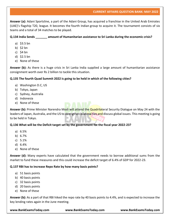**Answer (a):** Adani Sportsline, a part of the Adani Group, has acquired a franchise in the United Arab Emirates (UAE)'s flagship T20, league. It becomes the fourth Indian group to acquire it. The tournament consists of six teams and a total of 34 matches to be played.

# **Q.134 India Sends \_\_\_\_\_\_\_ amount of Humanitarian assistance to Sri Lanka during the economic crisis?**

- a) \$3.5 bn
- b) \$2 bn
- c)  $$4$  bn
- d) \$2.5 bn
- e) None of these

**Answer (b):** As there is a huge crisis in Sri Lanka India supplied a large amount of humanitarian assistance consignment worth over Rs 2 billion to tackle this situation.

# **Q.135 The fourth Quad Summit 2022 is going to be held in which of the following cities?**

- a) Washington D.C, US
- b) Tokyo, Japan
- c) Sydney, Australia
- d) Indonesia
- e) None of these

**Answer (b):** Prime Minister Narendra Modi will attend the Quadrilateral Security Dialogue on May 24 with the leaders of Japan, Australia, and the US to strengthen bilateral ties and discuss global issues. This meeting is going to be held in Tokyo.

# **Q.136 What will be the Deficit target set by the government for the fiscal year 2022-23?**

- a) 6.5%
- b) 6.7%
- c) 5.1%
- d) 6.4%
- e) None of these

**Answer (d):** Many experts have calculated that the government needs to borrow additional sums from the market to fund these measures and this could increase the deficit target of 6.4% of GDP for 2022-23.

# **Q.137 RBI has to increase Repo Rate by how many basis points?**

- a) 51 basis points
- b) 40 basis points
- c) 32 basis points
- d) 20 basis points
- e) None of these

**Answer (b):** As a part of that RBI hiked the repo rate by 40 basis points to 4.4%, and is expected to increase the key lending rates again in the June meeting.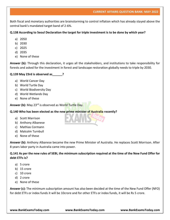Both fiscal and monetary authorities are brainstorming to control inflation which has already stayed above the central bank's mandated target band of 2-6%.

# **Q.138 According to Seoul Declaration the target for triple investment is to be done by which year?**

- a) 2050
- b) 2030
- c) 2025
- d) 2035
- e) None of these

**Answer (b):** Through this declaration, it urges all the stakeholders, and institutions to take responsibility for forests and asked for the investment in forest and landscape restoration globally needs to triple by 2030.

# **Q.139 May 23rd is observed as\_\_\_\_\_\_?**

- a) World Cancer Day
- b) World Turtle Day
- c) World Biodiversity Day
- d) World Wetlands Day
- e) None of these

**Answer (b):** May 23rd is observed as World Turtle Day.

# **Q.140 Who has been elected as the new prime minister of Australia recently?**

- a) Scott Marrison
- b) Anthony Albanese
- c) Mathias Cormann
- d) Malcolm Turnbull
- e) None of these

**Answer (b):** Anthony Albanese became the new Prime Minister of Australia. He replaces Scott Morrison. After 8 years labor party in Australia came into power.

# **Q.141 As per the new rules of SEBI, the minimum subscription required at the time of the New Fund Offer for debt ETFs is?**

- a) 5 crore
- b) 15 crore
- c) 10 crore
- d) 2 crore
- e) None of these

**Answer (c):** The minimum subscription amount has also been decided at the time of the New Fund Offer (NFO) for debt ETFs or index funds it will be 10crore and for other ETFs or index funds, it will be Rs 5 crore.

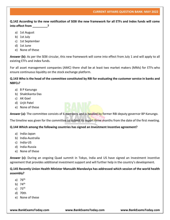**Q.142 According to the new notification of SEBI the new framework for all ETFs and Index funds will come into effect from \_\_\_\_\_\_\_\_\_?**

- a) 1st August
- b) 1st July
- c) 1st September
- d) 1st June
- e) None of these

**Answer (b):** As per the SEBI circular, this new framework will come into effect from July 1 and will apply to all existing ETFs and index funds.

For all asset management companies (AMC) there shall be at least two market makers (MMs) for ETFs who ensure continuous liquidity on the stock exchange platform.

# **Q.143 Who is the head of the committee constituted by RBI for evaluating the customer service in banks and NBFCs?**

- a) B P Kanungo
- b) Shaktikanta Das
- c) AK Goel
- d) Urjit Patel
- e) None of these

**Answer (a):** The committee consists of 6 members and is headed by former RBI deputy governor BP Kanungo.

The timeline was given for the committee to submit its report three months from the date of the first meeting.

# **Q.144 Which among the following countries has signed an Investment Incentive agreement?**

- a) India-Japan
- b) India-Australia
- c) India-US
- d) India-Russia
- e) None of these

**Answer (c):** During an ongoing Quad summit in Tokyo, India and US have signed an Investment incentive agreement that provides additional investment support and will further help in the country's development.

# **Q.145 Recently Union Health Minister Mansukh Mandaviya has addressed which session of the world health assembly?**

- a)  $76<sup>th</sup>$
- b) 74th
- c)  $75<sup>th</sup>$
- d) 70th
- e) None of these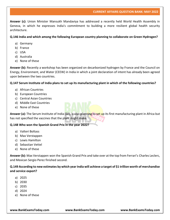**Answer (c):** Union Minister Mansukh Mandaviya has addressed a recently held World Health Assembly in Geneva, in which he expresses India's commitment to building a more resilient global health security architecture.

**Q.146 India and which among the following European country planning to collaborate on Green Hydrogen?**

- a) Germany
- b) France
- c) USA
- d) Australia
- e) None of these

**Answer (b):** Recently a workshop has been organized on decarbonized hydrogen by France and the Council on Energy, Environment, and Water (CEEW) in India in which a joint declaration of intent has already been agreed upon between the two countries.

#### **Q.147 Serum Institute of India plans to set up its manufacturing plant in which of the following countries?**

- a) African Countries
- b) European Countries
- c) Central Asian Countries
- d) Middle East Countries
- e) None of these

**Answer (a):** The Serum Institute of India (SII), is also planning to set up its first manufacturing plant in Africa but has not specified the vaccines that the plant might make.

# **Q.148 Who won the Spanish Grand Prix in the year 2022?**

- a) Valteri Boltass
- b) Max Verstappen
- c) Lewis Hamilton
- d) Sebastian Vettel
- e) None of these

**Answer (b):** Max Verstappen won the Spanish Grand Prix and take over at the top from Ferrari's Charles Leclerc, and Mexican Sergio Perez finished second.

**Q.149 According to new estimates by which year India will achieve a target of \$1 trillion worth of merchandise and service export?**

- a) 2025
- b) 2030
- c) 2035
- d) 2024
- e) None of these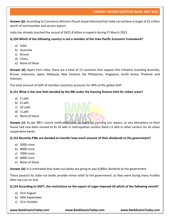**Answer (b):** According to Commerce Ministry Piyush Goyal informed that India can achieve a target of \$1 trillion worth of merchandise and service export.

India has already touched the record of \$421.8 billion in exports during FY March 2022.

# **Q.150 Which of the following country is not a member of the Indo-Pacific Economic Framework?**

- a) India
- b) Australia
- c) Brunei
- d) China
- e) None of these

**Answer (d):** Apart from India, there are a total of 13 countries that support this initiative including Australia, Brunei, Indonesia, Japan, Malaysia, New Zealand, the Philippines, Singapore, South Korea, Thailand, and Vietnam.

The total amount of GDP of member countries accounts for 40% of the global GDP.

# **Q.151 What is the new limit decided by the RBI under the housing finance limit for Urban areas?**

- a) 5 Lakh
- b) 6 Lakh
- c) 10 Lakh
- d) 3 Lakh
- e) None of these



**Answer (c):** As per RBI's recent notification limit on loans for carrying out repairs, or any alterations to their house had now been revised to Rs 10 lakh in metropolitan centers Rand s 6 lakh in other centers for all urban cooperative banks.

# **Q.152 Recently PSBs are decided to transfer how much amount of their dividends to the government?**

- a) 5000 crore
- b) 8000 crore
- c) 7000 crore
- d) 6000 crore
- e) None of these

**Answer (b):** It is estimated that state-run banks are going to pay 8,000cr dividend to the government.

These payouts by state-run banks provide minor relief to the government, as they were facing many hurdles after tax cuts on fuel.

# **Q.153 According to DGFT, the restrictions on the export of sugar imposed till which of the following month?**

- a) 31st August
- b) 30th September
- c) 31st October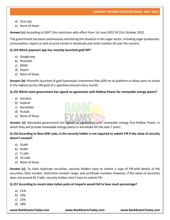- d) 31st July
- e) None of these

**Answer (c):** According to DGFT this restriction with effect from 1st June 2022 till 31st October 2022.

The government has been continuously monitoring the situation in the sugar sector, including sugar production, consumption, export as well as price trends in wholesale and retail markets all over the country.

# **Q.154 Which payment app has recently launched gold SIP?**

- a) Google pay
- b) PhonePe
- c) BHIM
- d) Paytm
- e) None of these

**Answer (b):** PhonePe launched of gold Systematic Investment Plan (SIP) on its platform to allow users to invest in the highest purity 24K gold of a specified amount every month.

#### **Q.155 Which state government has signed an agreement with ReNew Power for renewable energy plants?**

- a) Haryana
- b) Gujarat
- c) Karnataka
- d) Punjab
- e) None of these



**Answer (c):** Karnataka government has signed an agreement with renewable energy firm ReNew Power, in which they will provide renewable energy plants in Karnataka for the next 7 years.

**Q.156 According to New SEBI rules, is the security holder is not required to submit FIR if the value of security doesn't exceed?**

- a) 3Lakh
- b) 4Lakh
- c) 5 Lakh
- d) 10 Lakh
- e) None of these

**Answer (c):** To claim duplicate securities, security holders have to submit a copy of FIR with details of the securities, folio number, distinctive number range, and certificate numbers However, if the value of securities does not exceed Rs 5 lakh, security holders don't have to submit FIR.

# **Q.157 According to recent data Indian palm oil imports would fall to how much percentage?**

- a) 21%
- b) 19%
- c) 23%
- d) 18%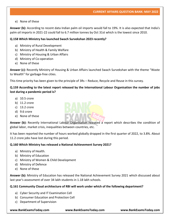e) None of these

**Answer (b):** According to recent data Indian palm oil imports would fall to 19%. It is also expected that India's palm oil imports in 2021-22 could fall to 6.7 million tonnes by Oct 31st which is the lowest since 2010.

# **Q.158 Which Ministry has launched Swach Survekshan 2023 recently?**

- a) Ministry of Rural Development
- b) Ministry of Health & Family Welfare
- c) Ministry of Housing & Urban Affairs
- d) Ministry of Co-operation
- e) None of these

**Answer (c):** Recently Ministry of Housing & Urban Affairs launched Swach Survekshan with the theme "Waste to Wealth" for garbage-free cities.

This time priority has been given to the principle of 3Rs – Reduce, Recycle and Reuse in this survey.

# **Q.159 According to the latest report released by the International Labour Organisation the number of jobs lost during a pandemic period is?**

- a) 10.5 crore
- b) 11.2 crore
- c) 13.2 crore
- d) 9.6 crore
- e) None of these



**Answer (b):** Recently International Labour Organisation released a report which describes the condition of global labor, market crisis, inequalities between countries, etc.

It has been reported the number of hours worked globally dropped in the first quarter of 2022, to 3.8%. About 11.2 crore jobs have lost during this period.

# **Q.160 Which Ministry has released a National Achievement Survey 2021?**

- a) Ministry of Health.
- b) Ministry of Education
- c) Ministry of Women & Child Development
- d) Ministry of Defence
- e) None of these

**Answer (b):** Ministry of Education has released the National Achievement Survey 2021 which discussed about last year's assessment of over 34 lakh students in 1.18 lakh schools.

# **Q.161 Community Cloud architecture of RBI will work under which of the following department?**

- a) Cyber Security and IT Examination Cell
- b) Consumer Education and Protection Cell
- c) Department of Supervision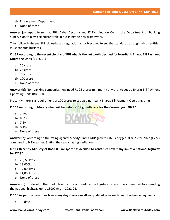# d) Enforcement Department

e) None of these

**Answer (a):** Apart from that RBI's Cyber Security and IT Examination Cell in the Department of Banking Supervision to play a significant role in outlining the new framework.

They follow high-level Principles-based regulation and objectives to set the standards through which entities must conduct business.

**Q.162 According to the recent circular of RBI what is the net worth decided for Non-Bank Bharat Bill Payment Operating Units (BBPOU)?**

- a) 50 crore
- b) 25 crore
- c) 75 crore
- d) 100 crore
- e) None of these

**Answer (b):** Non-banking companies now need Rs 25 crores minimum net worth to set up Bharat Bill Payment Operating Units (BBPOU).

Presently there is a requirement of 100 crores to set up a non-bank Bharat Bill Payment Operating Units.

**Q.163 According to Moody what will be India's GDP growth rate for the Current year 2022?**

- a) 7.2%
- b) 8.8%
- c) 7.6%
- d) 8.1%
- e) None of these

**Answer (b):** According to the rating agency Moody's India GDP growth rate is pegged at 8.8% for 2022 (CY22) compared to 9.1% earlier. Stating the reason as high inflation.

# **Q.164 Recently Ministry of Road & Transport has decided to construct how many km of a national highway for FY23?**

- a) 20,220kms
- b) 18,000kms
- c) 17,000kms
- d) 21,000kms
- e) None of these

**Answer (b):** To develop the road infrastructure and reduce the logistic cost govt has committed to expanding the national highway up to 18000kms in 2022-23.

**Q.165 As per the new rules how many days bank can allow qualified jewelers to remit advance payment?**

a) 10 days

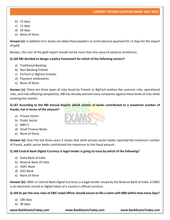- b) 13 days
- c) 11 days
- d) 20 days
- e) None of these

**Answer (c):** In addition to it, banks can allow these jewelers to remit advance payment for 11 days for the import of gold.

Besides, the cost of the gold import should not be more than the value of advance remittance.

# **Q.166 RBI decided to design a policy framework for which of the following sectors?**

- a) Traditional Banking
- b) Non-Banking Entities
- c) FInTech or BigTech Entities
- d) Payment settlements
- e) None of these

**Answer (c):** There are three types of risks faced by Fintech or BigTech entities like systemic risks, operational risks, and risks affecting competition, RBI has already warned many companies against these kinds of risks while entering the market.

# **Q.167 According to the RBI Annual Report, which sectors of banks contributed to a maximum number of frauds, not in terms of the amount?**

- a) Private Sector
- b) Public Sector
- c) NBFC's
- d) Small Finance Banks
- e) None of these

**Answer (a):** Over the last three years it shows that while private sector banks reported the maximum number of frauds, public sector banks contributed the maximum to the fraud amount.

# **Q.168 Central Bank Digital Currency is legal tender is going to issue by which of the following?**

- a) State Bank of India
- b) Reserve Bank of India
- c) HDFC Bank
- d) ICICI Bank
- e) None of these

**Answer (b):** CBDC or Central Bank Digital Currency is a legal tender issued by the Reserve Bank of India. A CBDC is an electronic record or digital token of a country's official currency.

**Q.169 As per the new rules of CBIC nodal officer should ensure to file a claim with IBBI within how many days?**

- a) 180 days
- b) 90 days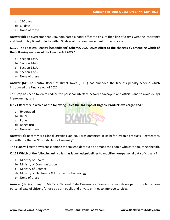- c) 120 days
- d) 60 days
- e) None of these

**Answer (b):** To overcome that CBIC nominated a nodal officer to ensure the filing of claims with the Insolvency and Bankruptcy Board of India within 90 days of the commencement of the process.

**Q.170 The Faceless Penalty (Amendment) Scheme, 2022, gives effect to the changes by amending which of the following sections of the Finance Act 2022?**

- a) Section 134A
- b) Section 144B
- c) Section 121A
- d) Section 132B
- e) None of these

**Answer (b):** The Central Board of Direct Taxes (CBDT) has amended the faceless penalty scheme which introduced the Finance Act of 2022.

This step has been taken to reduce the personal interface between taxpayers and officials and to avoid delays in processing cases.

#### **Q.171 Recently in which of the following Cities the 3rd Expo of Organic Products was organized?**

- a) Hyderabad
- b) Delhi
- c) Pune
- d) Bengaluru
- e) None of these

**Answer (b):** Recently 3rd Global Organic Expo 2022 was organized in Delhi for Organic products, Aggregators, etc with the theme "Profitability for Humanity".

This expo will create awareness among the stakeholders but also among the people who care about their health.

# **Q.172 Which of the following ministries has launched guidelines to mobilize non-personal data of citizens?**

- a) Ministry of Health
- b) Ministry of Communication
- c) Ministry of Defence
- d) Ministry of Electronics & Information Technology
- e) None of these

**Answer (d):** According to MeiTY a National Data Governance Framework was developed to mobilize nonpersonal data of citizens for use by both public and private entities to improve services.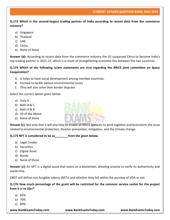**Q.173 Which is the second-largest trading partner of India according to recent data from the commerce ministry?**

- a) Singapore
- b) Thailand
- c) UAE
- d) China
- e) None of these

**Answer (d):** According to recent data from the commerce industry the US surpassed China to become India's top trading partner in 2021-22, which is a result of strengthening economic ties between the two countries.

# **Q.174 Which of the following is/are statements are true regarding the BRICS joint committee on Space Cooperation?**

- A. It helps to have social development among member countries.
- B. Formed to tackle various environmental issues
- C. They will also solve their border disputes

Select the correct option given below

- a) Only A
- b) Both B & C
- c) Both A & B
- d) All of the Above
- e) None of these

**Answer (c):** Not only that it will also help to enable all BRICS agencies to work together and brainstorm the issue related to environmental protection, disaster prevention, mitigation, and the climate change.

#### **Q.175 NFT is considered to be as\_\_\_\_\_\_\_\_from the given below.**

- a) Legal Tender
- b) Securities
- c) Digital Asset
- d) Bonds
- e) None of these

**Answer (c):** An NFT is a digital asset that exists on a blockchain, allowing anyone to verify its authenticity and ownership.

CBDT will define non-fungible tokens (NFTs) and whether they fall within the purview of VDA or not.

**Q.176 How much percentage of the grant will be restricted for the common service center for the project from 5 cr to 10cr?**

- a) 65%
- b) 70%
- c) 80%

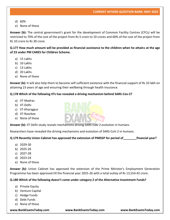- d) 60%
- e) None of these

**Answer (b):** The central government's grant for the development of Common Facility Centres (CFCs) will be restricted to 70% of the cost of the project from Rs 5 crore to 10 crores and 60% of the cost of the project from Rs 10 crore to Rs 30 crore.

**Q.177 How much amount will be provided as financial assistance to the children when he attains at the age of 23 under PM CARES for Children Scheme.**

- a) 15 Lakhs
- b) 10 Lakhs
- c) 13 Lakhs
- d) 20 Lakhs
- e) None of these

**Answer (b):** It will also help them to become self-sufficient existence with the financial support of Rs 10 lakh on attaining 23 years of age and ensuring their wellbeing through health insurance.

#### **Q.178 Which of the following IITs has revealed a driving mechanism behind SARS-Cov-2?**

- a) IIT-Madras
- b) IIT-Delhi
- c) IIT-Kharagpur
- d) IIT-Roorkee
- e) None of these

**Answer (b):** IIT Delhi study reveals mechanisms driving SARS-CoV-2 evolution in humans.

Researchers have revealed the driving mechanisms and evolution of SARS-CoV-2 in humans.

#### **Q.179 Recently Union Cabinet has approved the extension of PMEGP for period of\_\_\_\_\_\_\_\_financial year?**

- a) 2029-30
- b) 2025-26
- c) 2027-28
- d) 2023-24
- e) None of these

**Answer (b):** Union Cabinet has approved the extension of the Prime Minister's Employment Generation Programme has been approved till the financial year 2025-26 with a total outlay of Rs 13,554.42 crore.

#### **Q.180 Which of the following doesn't come under category 2 of the Alternative Investment Funds?**

- a) Private Equity
- b) Venture Capital
- c) Hedge Funds
- d) Debt Funds
- e) None of these

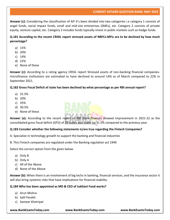**Answer (c):** Considering the classification of AIF it's been divided into two categories i.e category 1 consists of angel funds, social impact funds, small and mid-size enterprises (SMEs), etc. Category 2 consists of private equity, venture capital, etc. Category 3 includes funds typically invest in public markets such as hedge funds.

**Q.181 According to the recent CRISIL report stressed assets of NBFCs-MFIs are to be declined by how much percentage?**

- a) 15%
- b) 20%
- c) 14%
- d) 22%
- e) None of these

**Answer (c):** According to a rating agency CRISIL report Stressed assets of non-banking financial companiesmicrofinance institutions are estimated to have declined to around 14% as of March compared to 22% in September 2021.

# **Q.182 Gross Fiscal Deficit of state has been declined by what percentage as per RBI annual report?**

- a) 31.5%
- b) 20%
- c) 35%
- d) 30.5%
- e) None of these



# **Q.183 Consider whether the following statements is/are true regarding the Fintech Companies?**

- A. Specialize in technology growth to support the banking and financial industries
- B. This Fintech companies are regulated under the Banking regulation act 1949

Select the correct option from the given below

- a) Only B
- b) Only A
- c) All of the Above
- d) None of the Above

**Answer (b):** When there is an involvement of big techs in banking, financial services, and the insurance sector it will also bring systemic risks that have implications for financial stability.

# **Q.184 Who has been appointed as MD & CEO of Jubilant Food works?**

- a) Arun Mishra
- b) Salil Parekh
- c) Sameer Khetripal